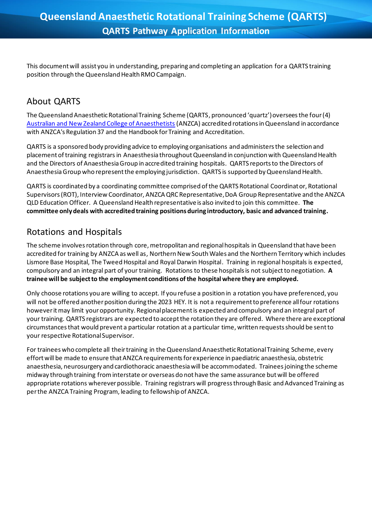This document will assist you in understanding, preparing and completing an application for a QARTS training position through the Queensland Health RMO Campaign.

# About QARTS

The Queensland Anaesthetic Rotational Training Scheme (QARTS, pronounced 'quartz') oversees the four (4) [Australian and New Zealand College of Anaesthetists](http://www.anzca.edu.au/)(ANZCA) accredited rotations in Queensland in accordance with ANZCA's Regulation 37 and the Handbook for Training and Accreditation.

QARTS is a sponsored body providing advice to employing organisations and administers the selection and placement of training registrars in Anaesthesia throughout Queensland in conjunction with Queensland Health and the Directors of Anaesthesia Group in accredited training hospitals. QARTS reports to the Directors of Anaesthesia Group who represent the employing jurisdiction. QARTS is supported by Queensland Health.

QARTS is coordinated by a coordinating committee comprised of the QARTS Rotational Coordinator, Rotational Supervisors (ROT), Interview Coordinator, ANZCA QRC Representative, DoA Group Representative and the ANZCA QLD Education Officer. A Queensland Health representative is also invited to join this committee. **The committee only deals with accredited training positions during introductory, basic and advanced training.**

### Rotations and Hospitals

The scheme involves rotation through core, metropolitan and regional hospitals in Queensland that have been accredited for training by ANZCA as well as, Northern New South Wales and the Northern Territory which includes Lismore Base Hospital, The Tweed Hospital and Royal Darwin Hospital. Training in regional hospitals is expected, compulsory and an integral part of your training. Rotations to these hospitals is not subject to negotiation. **A trainee will be subject to the employment conditions of the hospital where they are employed.**

Only choose rotations you are willing to accept. If you refuse a position in a rotation you have preferenced, you will not be offered another position during the 2023 HEY. It is not a requirement to preference all four rotations however it may limit your opportunity. Regional placement is expected and compulsory and an integral part of your training. QARTS registrars are expected to accept the rotation they are offered. Where there are exceptional circumstances that would prevent a particular rotation at a particular time, written requests should be sent to your respective Rotational Supervisor.

For trainees who complete all their training in the Queensland Anaesthetic Rotational Training Scheme, every effort will be made to ensure that ANZCA requirements for experience in paediatric anaesthesia, obstetric anaesthesia, neurosurgery and cardiothoracic anaesthesia will be accommodated. Trainees joining the scheme midway through training from interstate or overseas do not have the same assurance but will be offered appropriate rotations wherever possible. Training registrars will progress through Basic and Advanced Training as per the ANZCA Training Program, leading to fellowship of ANZCA.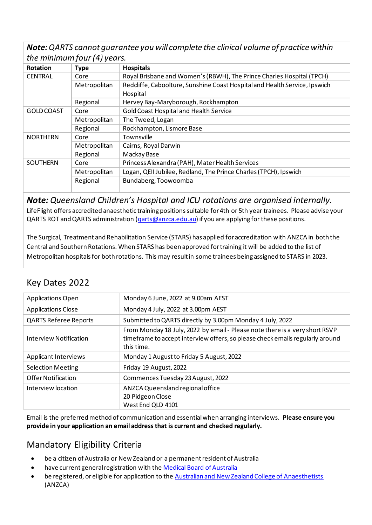*Note: QARTS cannot guarantee you will complete the clinical volume of practice within the minimum four (4) years.*

| $\sqrt{ }$      |              |                                                                                        |
|-----------------|--------------|----------------------------------------------------------------------------------------|
| Rotation        | <b>Type</b>  | <b>Hospitals</b>                                                                       |
| <b>CENTRAL</b>  | Core         | Royal Brisbane and Women's (RBWH), The Prince Charles Hospital (TPCH)                  |
|                 | Metropolitan | Redcliffe, Caboolture, Sunshine Coast Hospital and Health Service, Ipswich<br>Hospital |
|                 | Regional     | Hervey Bay-Maryborough, Rockhampton                                                    |
| GOLD COAST      | Core         | Gold Coast Hospital and Health Service                                                 |
|                 | Metropolitan | The Tweed, Logan                                                                       |
|                 | Regional     | Rockhampton, Lismore Base                                                              |
| <b>NORTHERN</b> | Core         | Townsville                                                                             |
|                 | Metropolitan | Cairns, Royal Darwin                                                                   |
|                 | Regional     | Mackay Base                                                                            |
| <b>SOUTHERN</b> | Core         | Princess Alexandra (PAH), Mater Health Services                                        |
|                 | Metropolitan | Logan, QEII Jubilee, Redland, The Prince Charles (TPCH), Ipswich                       |
|                 | Regional     | Bundaberg, Toowoomba                                                                   |

*Note: Queensland Children's Hospital and ICU rotations are organised internally.*  LifeFlight offers accredited anaesthetic training positionssuitable for 4th or 5th year trainees. Please advise your QARTS ROT and QARTS administration (garts@anzca.edu.au) if you are applying for these positions.

The Surgical, Treatment and Rehabilitation Service (STARS) has applied for accreditation with ANZCA in both the Central and Southern Rotations. When STARS has been approved for training it will be added to the list of Metropolitan hospitals for both rotations. This may result in some trainees being assigned to STARS in 2023.

# Key Dates 2022

| <b>Applications Open</b>     | Monday 6 June, 2022 at 9.00am AEST                                                                                                                                         |
|------------------------------|----------------------------------------------------------------------------------------------------------------------------------------------------------------------------|
| <b>Applications Close</b>    | Monday 4 July, 2022 at 3.00pm AEST                                                                                                                                         |
| <b>QARTS Referee Reports</b> | Submitted to QARTS directly by 3.00pm Monday 4 July, 2022                                                                                                                  |
| Interview Notification       | From Monday 18 July, 2022 by email - Please note there is a very short RSVP<br>timeframe to accept interview offers, so please check emails regularly around<br>this time. |
| <b>Applicant Interviews</b>  | Monday 1 August to Friday 5 August, 2022                                                                                                                                   |
| <b>Selection Meeting</b>     | Friday 19 August, 2022                                                                                                                                                     |
| Offer Notification           | Commences Tuesday 23 August, 2022                                                                                                                                          |
| Interview location           | ANZCA Queensland regional office<br>20 Pidgeon Close<br>West End QLD 4101                                                                                                  |

Email is the preferred method of communication and essential when arranging interviews. **Please ensure you provide in your application an email address that is current and checked regularly.**

# Mandatory Eligibility Criteria

- be a citizen of Australia or New Zealand or a permanent resident of Australia
- have current general registration with th[e Medical Board of Australia](http://www.medicalboard.gov.au/)
- be registered, or eligible for application to the [Australian and New Zealand College of Anaesthetists](http://www.anzca.edu.au/) (ANZCA)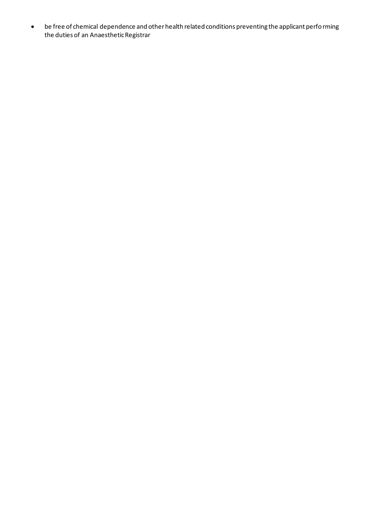• be free of chemical dependence and other health related conditions preventing the applicant performing the duties of an Anaesthetic Registrar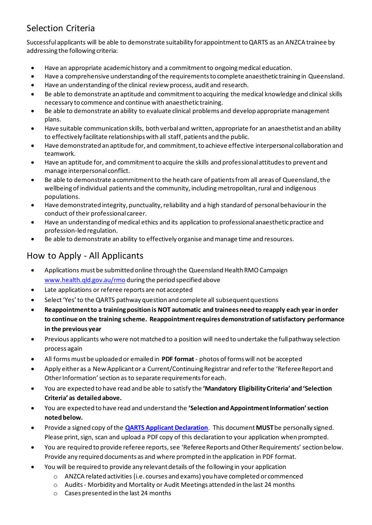# Selection Criteria

Successful applicants will be able to demonstrate suitability for appointment to QARTS as an ANZCA trainee by addressing the following criteria:

- Have an appropriate academic history and a commitment to ongoing medical education.
- Have a comprehensive understanding of the requirements to complete anaesthetic training in Queensland.
- Have an understanding of the clinical review process, audit and research.
- Be able to demonstrate an aptitude and commitment to acquiring the medical knowledge and clinical skills necessary to commence and continue with anaesthetic training.
- Be able to demonstrate an ability to evaluate clinical problems and develop appropriate management plans.
- Have suitable communication skills, both verbal and written, appropriate for an anaesthetist and an ability to effectively facilitate relationships with all staff, patients and the public.
- Have demonstrated an aptitude for, and commitment, to achieve effective interpersonal collaboration and teamwork.
- Have an aptitude for, and commitment to acquire the skills and professional attitudes to prevent and manage interpersonal conflict.
- Be able to demonstrate a commitment to the heath care of patients from all areas of Queensland, the wellbeing of individual patients and the community, including metropolitan, rural and indigenous populations.
- Have demonstrated integrity, punctuality, reliability and a high standard of personal behaviour in the conduct of their professional career.
- Have an understanding of medical ethics and its application to professional anaesthetic practice and profession-led regulation.
- Be able to demonstrate an ability to effectively organise and manage time and resources.

# How to Apply - All Applicants

- Applications must be submitted online through the Queensland Health RMO Campaign [www.health.qld.gov.au/rmo](https://www.health.qld.gov.au/employment/work-for-us/clinical/medical/recruitment/rmo/applications) during the period specified above
- Late applications or referee reports are not accepted
- Select 'Yes' to the QARTS pathway question and complete all subsequent questions
- **Reappointment to a training position is NOT automatic and trainees need to reapply each year in order to continue on the training scheme. Reappointment requires demonstration of satisfactory performance in the previous year**
- Previous applicants who were not matched to a position will need to undertake the full pathway selection process again
- All forms must be uploaded or emailed in **PDF format** photos of forms will not be accepted
- Apply either as a New Applicant or a Current/Continuing Registrar and refer to the 'Referee Report and Other Information' section as to separate requirements for each.
- You are expected to have read and be able to satisfy the **'Mandatory Eligibility Criteria' and 'Selection Criteria' as detailed above.**
- You are expected to have read and understand the **'Selection and Appointment Information' section noted below.**
- Provide a signed copy of the **[QARTS Applicant Declaration](https://www.health.qld.gov.au/__data/assets/pdf_file/0026/650816/QARTS-app-declaration.pdf)**. This document **MUST**be personally signed. Please print, sign, scan and upload a PDF copy of this declaration to your application when prompted.
- You are required to provide referee reports, see 'Referee Reports and Other Requirements' section below. Provide any required documents as and where prompted in the application in PDF format.
- You will be required to provide any relevant details of the following in your application
	- o ANZCA related activities (i.e. courses and exams) you have completed or commenced
	- $\circ$  Audits Morbidity and Mortality or Audit Meetings attended in the last 24 months
	- o Cases presented in the last 24 months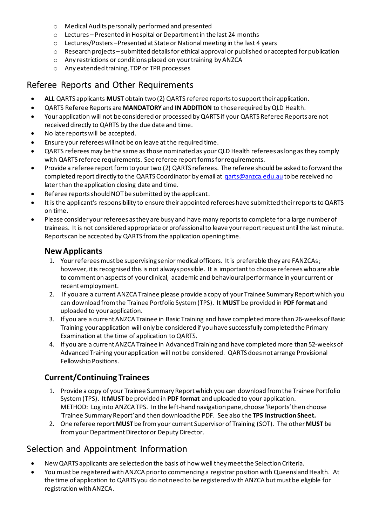- o Medical Audits personally performed and presented
- o Lectures Presented in Hospital or Department in the last 24 months
- o Lectures/Posters –Presented at State or Nationalmeeting in the last 4 years
- $\circ$  Research projects submitted details for ethical approval or published or accepted for publication
- o Any restrictions or conditions placed on your training by ANZCA
- o Any extended training, TDP or TPR processes

#### Referee Reports and Other Requirements

- **ALL** QARTS applicants **MUST** obtain two (2) QARTS referee reports to support their application.
- QARTS Referee Reports are **MANDATORY** and **IN ADDITION** to those required by QLD Health.
- Your application will not be considered or processed by QARTS if your QARTS Referee Reports are not received directly to QARTS by the due date and time.
- No late reports will be accepted.
- Ensure your referees will not be on leave at the required time.
- QARTS referees may be the same as those nominated as your QLD Health referees as long as they comply with QARTS referee requirements. See referee report forms for requirements.
- Provide a referee report form to your two (2) QARTS referees. The referee should be asked to forward the completed report directly to the QARTS Coordinator by email a[t qarts@anzca.edu.au](mailto:qarts@anzca.edu.au) to be received no later than the application closing date and time.
- Referee reports should NOT be submitted by the applicant.
- It is the applicant′s responsibility to ensure their appointed referees have submitted their reports to QARTS on time.
- Please consider your referees as they are busy and have many reports to complete for a large number of trainees. It is not considered appropriate or professional to leave your report request until the last minute. Reports can be accepted by QARTS from the application opening time.

#### **New Applicants**

- 1. Your referees must be supervising senior medical officers. It is preferable they are FANZCAs; however, it is recognised this is not always possible. It is important to choose referees who are able to comment on aspects of your clinical, academic and behavioural performance in your current or recent employment.
- 2. If you are a current ANZCA Trainee please provide a copy of your Trainee Summary Report which you can download from the Trainee Portfolio System (TPS). It **MUST** be provided in **PDF format** and uploaded to your application.
- 3. If you are a current ANZCA Trainee in Basic Training and have completed more than 26-weeks of Basic Training your application will only be considered if you have successfully completed the Primary Examination at the time of application to QARTS.
- 4. If you are a current ANZCA Trainee in Advanced Training and have completed more than 52-weeks of Advanced Training your application will not be considered. QARTS does not arrange Provisional Fellowship Positions.

#### **Current/Continuing Trainees**

- 1. Provide a copy of your Trainee Summary Report which you can download from the Trainee Portfolio System (TPS). It **MUST** be provided in **PDF format** and uploaded to your application. METHOD: Log into ANZCA TPS. In the left-hand navigation pane, choose ′Reports′ then choose ′Trainee Summary Report′ and then download the PDF. See also the **TPS Instruction Sheet.**
- 2. One referee report **MUST**be from your current Supervisor of Training (SOT). The other **MUST** be from your Department Director or Deputy Director.

### Selection and Appointment Information

- New QARTS applicants are selected on the basis of how well they meet the Selection Criteria.
- You must be registered with ANZCA prior to commencing a registrar position with Queensland Health. At the time of application to QARTS you do not need to be registered with ANZCA but must be eligible for registration with ANZCA.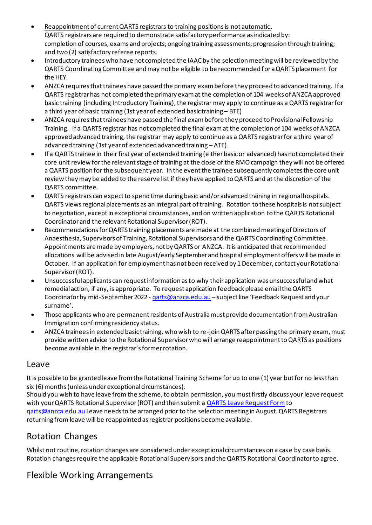- Reappointment of current QARTS registrars to training positions is not automatic. QARTS registrars are required to demonstrate satisfactory performance as indicated by: completion of courses, exams and projects; ongoing training assessments; progression through training; and two (2) satisfactory referee reports.
- Introductory trainees who have not completed the IAAC by the selection meeting will be reviewed by the QARTS Coordinating Committee and may not be eligible to be recommended for a QARTS placement for the HEY.
- ANZCA requires that trainees have passed the primary exam before they proceed to advanced training. If a QARTS registrar has not completed the primary exam at the completion of 104 weeks of ANZCA approved basic training (including Introductory Training), the registrar may apply to continue as a QARTS registrar for a third year of basic training (1st year of extended basic training – BTE)
- ANZCA requires that trainees have passed the final exam before they proceed to Provisional Fellowship Training. If a QARTS registrar has not completed the final exam at the completion of 104 weeks of ANZCA approved advanced training, the registrar may apply to continue as a QARTS registrar for a third year of advanced training (1st year of extended advanced training – ATE).
- If a QARTS trainee in their first year of extended training (either basic or advanced) has not completed their core unit review for the relevant stage of training at the close of the RMO campaign they will not be offered a QARTS position for the subsequent year. In the event the trainee subsequently completes the core unit review they may be added to the reserve list if they have applied to QARTS and at the discretion of the QARTS committee.
- QARTS registrars can expect to spend time during basic and/or advanced training in regional hospitals. QARTS views regional placements as an integral part of training. Rotation to these hospitals is not subject to negotiation, except in exceptional circumstances, and on written application to the QARTS Rotational Coordinator and the relevant Rotational Supervisor (ROT).
- Recommendations for QARTS training placements are made at the combined meeting of Directors of Anaesthesia, Supervisors of Training, Rotational Supervisors and the QARTS Coordinating Committee. Appointments are made by employers, not by QARTS or ANZCA. It is anticipated that recommended allocations will be advised in late August/early September and hospital employment offers will be made in October. If an application for employment has not been received by 1 December, contact your Rotational Supervisor (ROT).
- Unsuccessful applicants can request information as to why their application was unsuccessful and what remedial action, if any, is appropriate. To request application feedback please email the QARTS Coordinator by mid-September 2022 - garts@anzca.edu.au - subject line 'Feedback Request and your surname'.
- Those applicants who are permanent residents of Australia must provide documentation from Australian Immigration confirming residency status.
- ANZCA trainees in extended basic training, who wish to re-join QARTS after passing the primary exam, must provide written advice to the Rotational Supervisor who will arrange reappointment to QARTS as positions become available in the registrar's former rotation.

### Leave

It is possible to be granted leave from the Rotational Training Scheme for up to one (1) year but for no less than six (6) months (unless under exceptional circumstances).

Should you wish to have leave from the scheme, to obtain permission, you must firstly discuss your leave request with your QARTS Rotational Supervisor (ROT) and then submit [a QARTS Leave Request Form](https://www.health.qld.gov.au/__data/assets/pdf_file/0028/650818/qarts-leave-request-form.pdf) to garts@anzca.edu.au Leave needs to be arranged prior to the selection meeting in August. QARTS Registrars returning from leave will be reappointed as registrar positions become available.

# Rotation Changes

Whilst not routine, rotation changes are considered under exceptional circumstances on a case by case basis. Rotation changes require the applicable Rotational Supervisors and the QARTS Rotational Coordinator to agree.

# Flexible Working Arrangements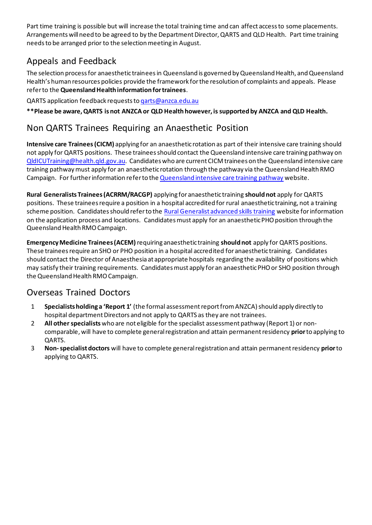Part time training is possible but will increase the total training time and can affect access to some placements. Arrangements will need to be agreed to by the Department Director, QARTS and QLD Health. Part time training needs to be arranged prior to the selection meeting in August.

# Appeals and Feedback

The selection process for anaesthetic trainees in Queensland is governed by Queensland Health, and Queensland Health's human resources policies provide the framework for the resolution of complaints and appeals. Please refer to the **Queensland Health information for trainees**.

QARTS application feedback requests t[o qarts@anzca.edu.au](mailto:qarts@anzca.edu.au)

**\*\*Please be aware, QARTS is not ANZCA or QLD Health however, is supported by ANZCA and QLD Health.**

# Non QARTS Trainees Requiring an Anaesthetic Position

**Intensive care Trainees (CICM)** applying for an anaesthetic rotation as part of their intensive care training should not apply for QARTS positions. These trainees should contact the Queensland intensive care training pathway on [QldICUTraining@health.qld.gov.au](mailto:QldICUTraining@health.qld.gov.au). Candidates who are current CICM trainees on the Queensland intensive care training pathway must apply for an anaesthetic rotation through the pathway via the Queensland Health RMO Campaign. For further information refer to th[e Queensland intensive care training pathway](https://www.health.qld.gov.au/employment/work-for-us/clinical/medical/recruitment/training/intensive-care) website.

**Rural Generalists Trainees (ACRRM/RACGP)** applying for anaesthetic training **should not** apply for QARTS positions. These trainees require a position in a hospital accredited for rural anaesthetic training, not a training scheme position. Candidates should refer to the [Rural Generalist advanced skills training](https://www.health.qld.gov.au/ruralgeneralist/advanced-skills) website for information on the application process and locations. Candidates must apply for an anaesthetic PHO position through the Queensland Health RMO Campaign.

**Emergency Medicine Trainees (ACEM)** requiring anaesthetic training **should not** apply for QARTS positions. These trainees require an SHO or PHO position in a hospital accredited for anaesthetic training. Candidates should contact the Director of Anaesthesia at appropriate hospitals regarding the availability of positions which may satisfy their training requirements. Candidates must apply for an anaesthetic PHO or SHO position through the Queensland Health RMO Campaign.

# Overseas Trained Doctors

- 1 **Specialists holding a 'Report 1'** (the formal assessment report from ANZCA) should apply directly to hospital department Directors and not apply to QARTS as they are not trainees.
- 2 **All other specialists** who are not eligible for the specialist assessment pathway (Report 1) or noncomparable, will have to complete general registration and attain permanent residency **prior**to applying to QARTS.
- 3 **Non-specialistdoctors** will have to complete general registration and attain permanent residency **prior**to applying to QARTS.